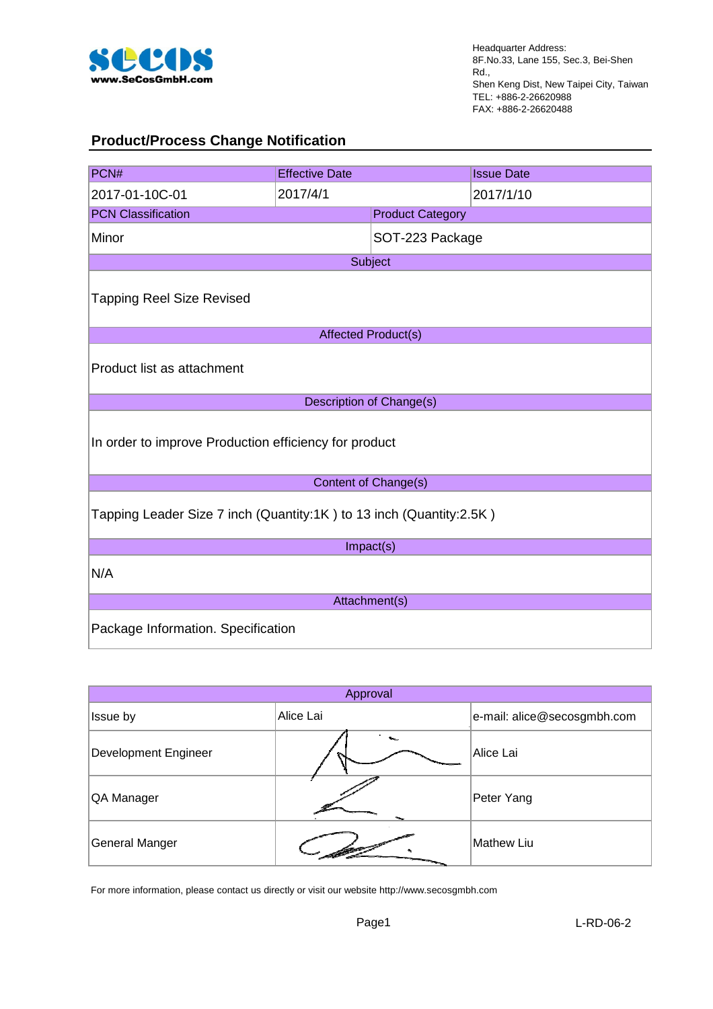

## **Product/Process Change Notification**

| PCN#                                                                | <b>Effective Date</b>   |                            | <b>Issue Date</b> |  |
|---------------------------------------------------------------------|-------------------------|----------------------------|-------------------|--|
| 2017-01-10C-01                                                      | 2017/4/1                |                            | 2017/1/10         |  |
| <b>PCN Classification</b>                                           | <b>Product Category</b> |                            |                   |  |
| Minor                                                               |                         | SOT-223 Package            |                   |  |
|                                                                     |                         | Subject                    |                   |  |
| <b>Tapping Reel Size Revised</b>                                    |                         |                            |                   |  |
|                                                                     |                         | <b>Affected Product(s)</b> |                   |  |
| Product list as attachment                                          |                         |                            |                   |  |
|                                                                     |                         | Description of Change(s)   |                   |  |
| In order to improve Production efficiency for product               |                         |                            |                   |  |
| Content of Change(s)                                                |                         |                            |                   |  |
| Tapping Leader Size 7 inch (Quantity:1K) to 13 inch (Quantity:2.5K) |                         |                            |                   |  |
| Impact(s)                                                           |                         |                            |                   |  |
| N/A                                                                 |                         |                            |                   |  |
| Attachment(s)                                                       |                         |                            |                   |  |
| Package Information. Specification                                  |                         |                            |                   |  |

| Approval                    |           |                             |  |  |
|-----------------------------|-----------|-----------------------------|--|--|
| Issue by                    | Alice Lai | e-mail: alice@secosgmbh.com |  |  |
| <b>Development Engineer</b> |           | Alice Lai                   |  |  |
| QA Manager                  |           | Peter Yang                  |  |  |
| <b>General Manger</b>       |           | Mathew Liu                  |  |  |

For more information, please contact us directly or visit our website http://www.secosgmbh.com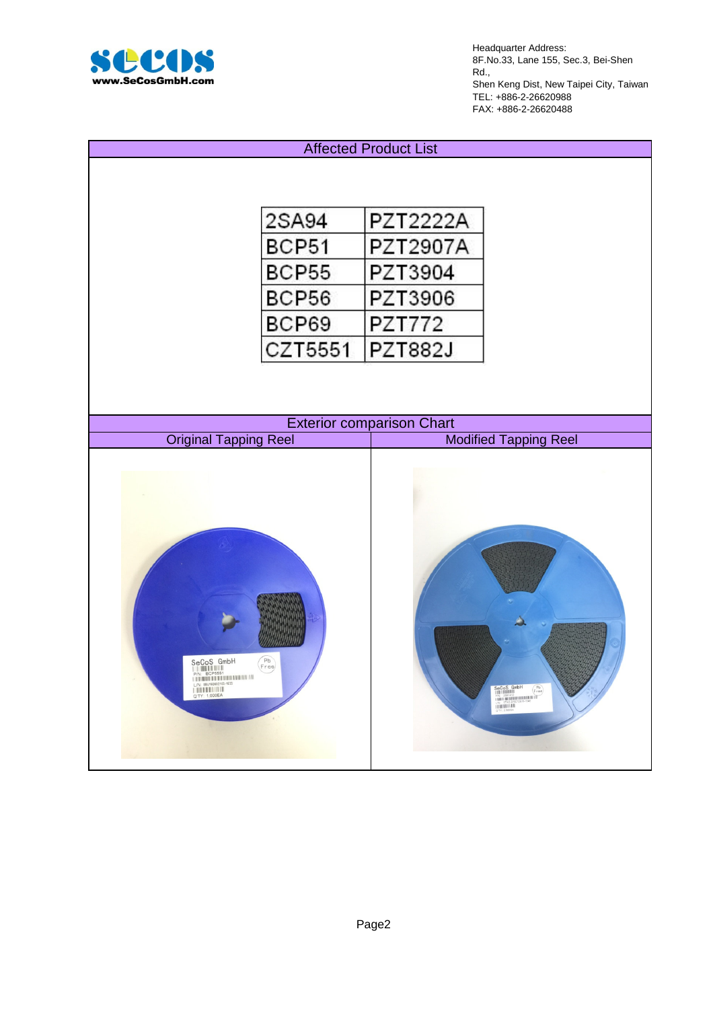

Headquarter Address: 8F.No.33, Lane 155, Sec.3, Bei-Shen Rd., Shen Keng Dist, New Taipei City, Taiwan TEL: +886-2-26620988 FAX: +886-2-26620488

## Affected Product List

| 2SA94   | PZT2222A       |
|---------|----------------|
| BCP51   | PZT2907A       |
| BCP55   | PZT3904        |
| BCP56   | PZT3906        |
| BCP69   | PZT772         |
| CZT5551 | <b>PZT882J</b> |

| <b>Exterior comparison Chart</b>                             |                                                                                                                                                                                                                                                                                                                                                                                                                                                                         |  |  |
|--------------------------------------------------------------|-------------------------------------------------------------------------------------------------------------------------------------------------------------------------------------------------------------------------------------------------------------------------------------------------------------------------------------------------------------------------------------------------------------------------------------------------------------------------|--|--|
| <b>Original Tapping Reel</b><br><b>Modified Tapping Reel</b> |                                                                                                                                                                                                                                                                                                                                                                                                                                                                         |  |  |
| $\begin{pmatrix} \mathsf{Pb} \\ \mathsf{Free} \end{pmatrix}$ | $\begin{array}{ c c c }\hline{\textbf{SeCoS}} & \textbf{GmbH} & \textbf{p} \\ \hline \textbf{p} & \textbf{p} & \textbf{p} \\ \textbf{p} & \textbf{p} & \textbf{p} \\ \textbf{p} & \textbf{p} & \textbf{p} & \textbf{p} \\ \textbf{p} & \textbf{p} & \textbf{p} & \textbf{p} \\ \textbf{p} & \textbf{p} & \textbf{p} & \textbf{p} \\ \textbf{p} & \textbf{p} & \textbf{p} & \textbf{p} \\ \hline \textbf{p} & \textbf{p} & \textbf{p}$<br>$\binom{p_b}{r \, \text{ree}}$ |  |  |